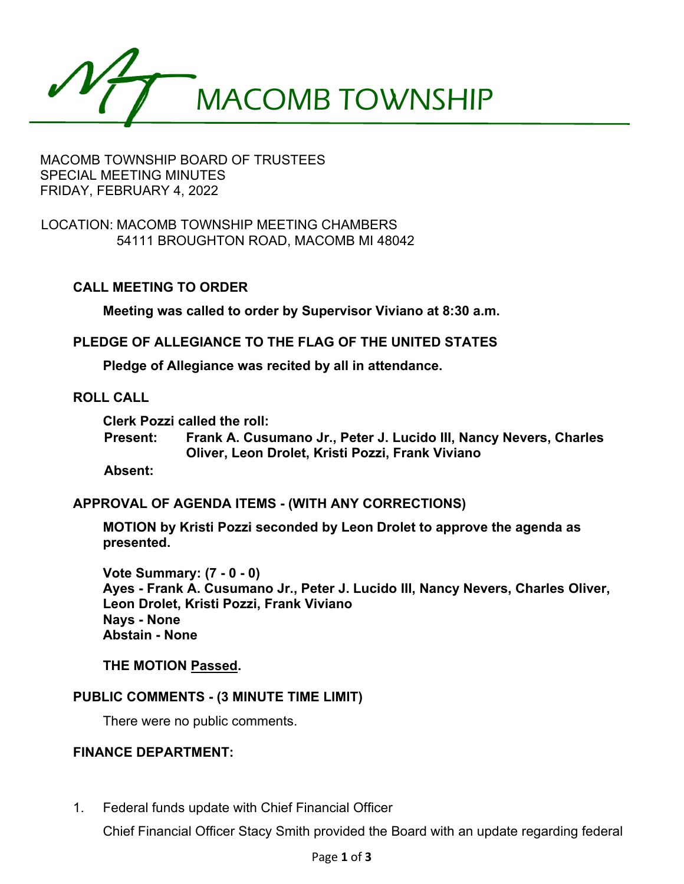MACOMB TOWNSHIP

### MACOMB TOWNSHIP BOARD OF TRUSTEES SPECIAL MEETING MINUTES FRIDAY, FEBRUARY 4, 2022

LOCATION: MACOMB TOWNSHIP MEETING CHAMBERS 54111 BROUGHTON ROAD, MACOMB MI 48042

## **CALL MEETING TO ORDER**

**Meeting was called to order by Supervisor Viviano at 8:30 a.m.**

**PLEDGE OF ALLEGIANCE TO THE FLAG OF THE UNITED STATES**

**Pledge of Allegiance was recited by all in attendance.**

### **ROLL CALL**

**Clerk Pozzi called the roll:**

**Present: Frank A. Cusumano Jr., Peter J. Lucido III, Nancy Nevers, Charles Oliver, Leon Drolet, Kristi Pozzi, Frank Viviano**

**Absent:**

### **APPROVAL OF AGENDA ITEMS - (WITH ANY CORRECTIONS)**

**MOTION by Kristi Pozzi seconded by Leon Drolet to approve the agenda as presented.** 

**Vote Summary: (7 - 0 - 0) Ayes - Frank A. Cusumano Jr., Peter J. Lucido III, Nancy Nevers, Charles Oliver, Leon Drolet, Kristi Pozzi, Frank Viviano Nays - None Abstain - None** 

### **THE MOTION Passed.**

### **PUBLIC COMMENTS - (3 MINUTE TIME LIMIT)**

There were no public comments.

## **FINANCE DEPARTMENT:**

1. Federal funds update with Chief Financial Officer

Chief Financial Officer Stacy Smith provided the Board with an update regarding federal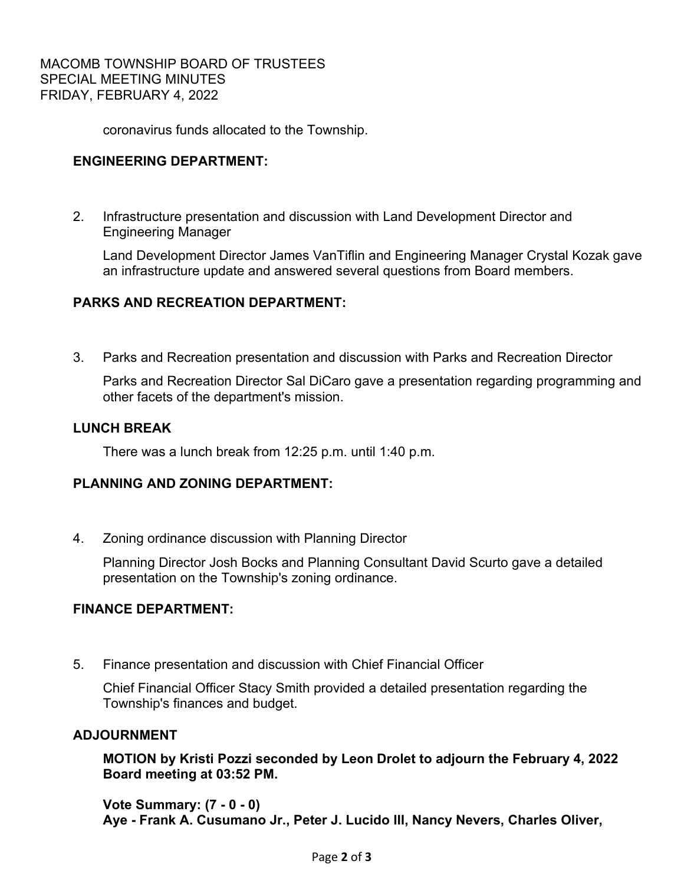coronavirus funds allocated to the Township.

## **ENGINEERING DEPARTMENT:**

 2. Infrastructure presentation and discussion with Land Development Director and Engineering Manager

 Land Development Director James VanTiflin and Engineering Manager Crystal Kozak gave an infrastructure update and answered several questions from Board members.

## **PARKS AND RECREATION DEPARTMENT:**

3. Parks and Recreation presentation and discussion with Parks and Recreation Director

 Parks and Recreation Director Sal DiCaro gave a presentation regarding programming and other facets of the department's mission.

## **LUNCH BREAK**

There was a lunch break from 12:25 p.m. until 1:40 p.m.

## **PLANNING AND ZONING DEPARTMENT:**

4. Zoning ordinance discussion with Planning Director

 Planning Director Josh Bocks and Planning Consultant David Scurto gave a detailed presentation on the Township's zoning ordinance.

# **FINANCE DEPARTMENT:**

5. Finance presentation and discussion with Chief Financial Officer

 Chief Financial Officer Stacy Smith provided a detailed presentation regarding the Township's finances and budget.

### **ADJOURNMENT**

**MOTION by Kristi Pozzi seconded by Leon Drolet to adjourn the February 4, 2022 Board meeting at 03:52 PM.** 

**Vote Summary: (7 - 0 - 0) Aye - Frank A. Cusumano Jr., Peter J. Lucido III, Nancy Nevers, Charles Oliver,**